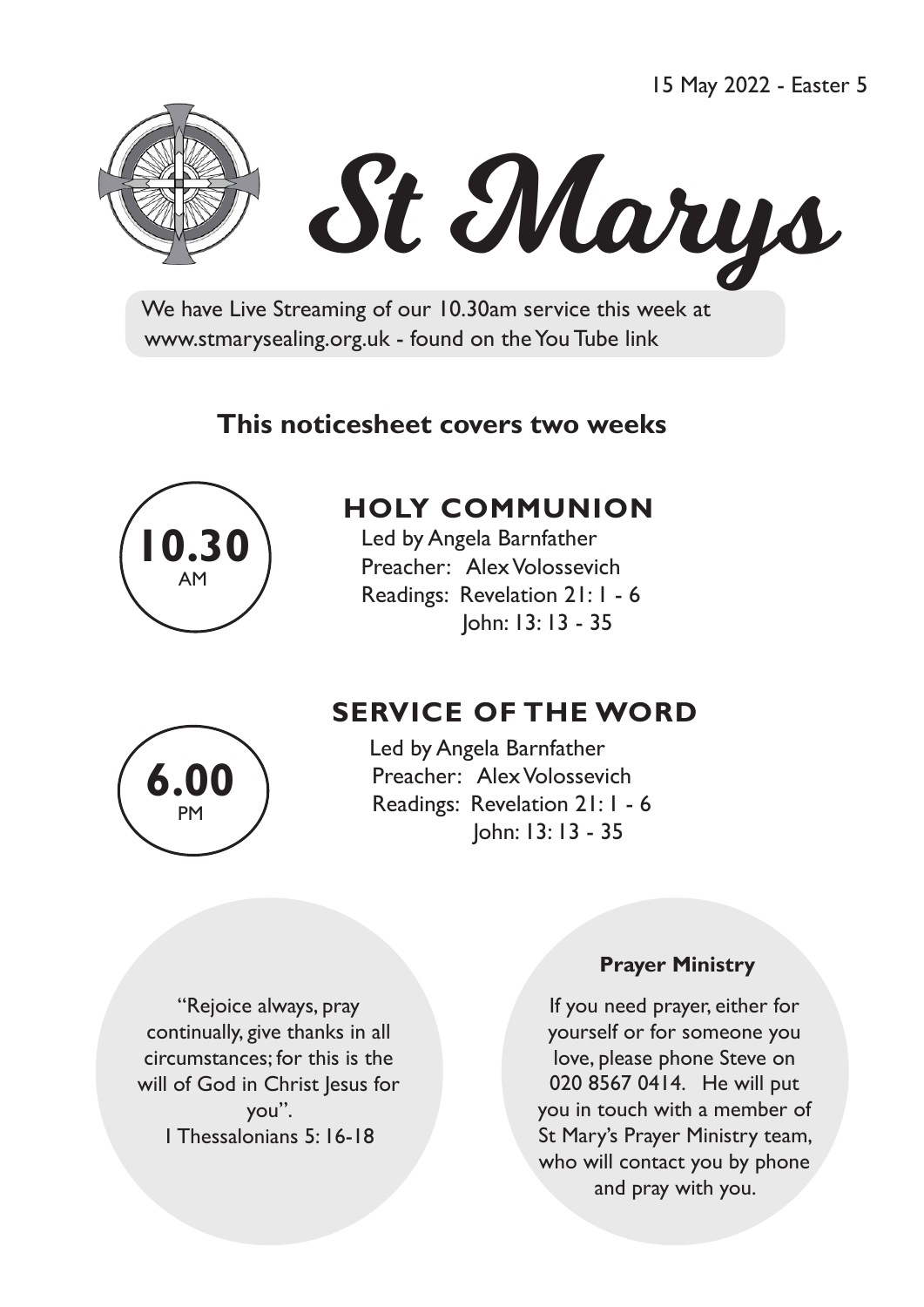15 May 2022 - Easter 5



# St Marys

 We have Live Streaming of our 10.30am service this week at www.stmarysealing.org.uk - found on the You Tube link

## **This noticesheet covers two weeks**



# **HOLY COMMUNION**

 Led by Angela Barnfather Preacher: Alex Volossevich Readings: Revelation 21: 1 - 6 John: 13: 13 - 35



# **SERVICE OF THE WORD**

Led by Angela Barnfather Preacher: Alex Volossevich Readings: Revelation 21: 1 - 6 John: 13: 13 - 35

"Rejoice always, pray continually, give thanks in all circumstances; for this is the will of God in Christ Jesus for you". 1 Thessalonians 5: 16-18

#### **Prayer Ministry**

If you need prayer, either for yourself or for someone you love, please phone Steve on 020 8567 0414. He will put you in touch with a member of St Mary's Prayer Ministry team, who will contact you by phone and pray with you.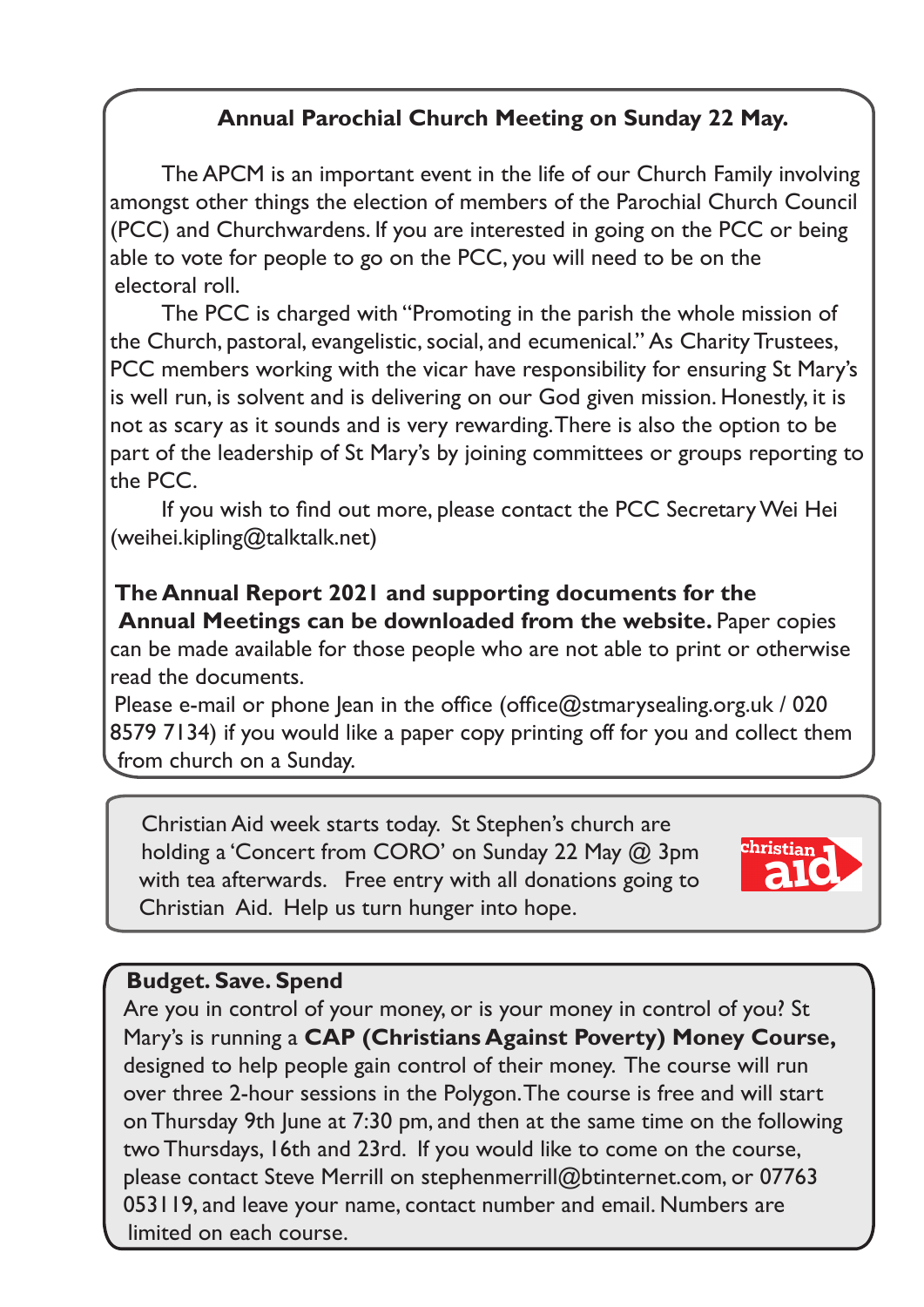## **Annual Parochial Church Meeting on Sunday 22 May.**

The APCM is an important event in the life of our Church Family involving amongst other things the election of members of the Parochial Church Council (PCC) and Churchwardens. If you are interested in going on the PCC or being able to vote for people to go on the PCC, you will need to be on the electoral roll.

The PCC is charged with "Promoting in the parish the whole mission of the Church, pastoral, evangelistic, social, and ecumenical." As Charity Trustees, PCC members working with the vicar have responsibility for ensuring St Mary's is well run, is solvent and is delivering on our God given mission. Honestly, it is not as scary as it sounds and is very rewarding. There is also the option to be part of the leadership of St Mary's by joining committees or groups reporting to the PCC.

 If you wish to find out more, please contact the PCC SecretaryWei Hei (weihei.kipling@talktalk.net)

## **The Annual Report 2021 and supporting documents for the Annual Meetings can be downloaded from the website. Paper copies**

can be made available for those people who are not able to print or otherwise read the documents.

Please e-mail or phone Jean in the office (office $@$ stmarysealing.org.uk / 020 8579 7134) if you would like a paper copy printing off for you and collect them from church on a Sunday.

 Christian Aid week starts today. St Stephen's church are holding a 'Concert from CORO' on Sunday 22 May @ 3pm with tea afterwards. Free entry with all donations going to Christian Aid. Help us turn hunger into hope.



### **Budget. Save. Spend**

Are you in control of your money, or is your money in control of you? St Mary's is running a **CAP (Christians Against Poverty) Money Course,** designed to help people gain control of their money. The course will run over three 2-hour sessions in the Polygon. The course is free and will start on Thursday 9th June at 7:30 pm, and then at the same time on the following two Thursdays, 16th and 23rd. If you would like to come on the course, please contact Steve Merrill on stephenmerrill@btinternet.com, or 07763 053119, and leave your name, contact number and email. Numbers are limited on each course.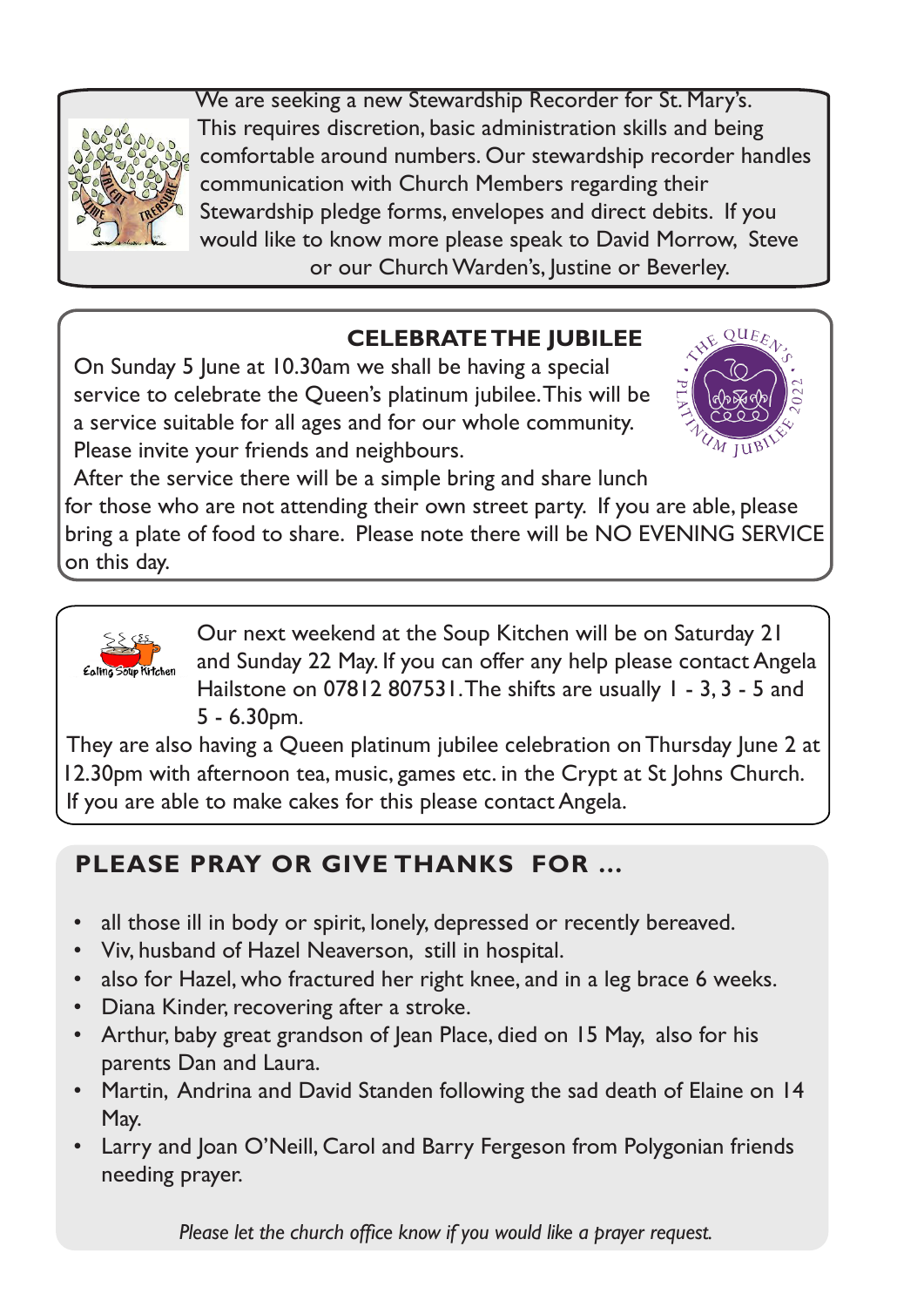

 We are seeking a new Stewardship Recorder for St. Mary's. This requires discretion, basic administration skills and being comfortable around numbers. Our stewardship recorder handles communication with Church Members regarding their Stewardship pledge forms, envelopes and direct debits. If you would like to know more please speak to David Morrow, Steve or our Church Warden's, Justine or Beverley.

## **CELEBRATE THE JUBILEE**

On Sunday 5 June at 10.30am we shall be having a special service to celebrate the Queen's platinum jubilee. This will be a service suitable for all ages and for our whole community. Please invite your friends and neighbours.



After the service there will be a simple bring and share lunch

for those who are not attending their own street party. If you are able, please bring a plate of food to share. Please note there will be NO EVENING SERVICE on this day.



Our next weekend at the Soup Kitchen will be on Saturday 21 and Sunday 22 May. If you can offer any help please contact Angela Hailstone on 07812 807531. The shifts are usually 1 - 3, 3 - 5 and 5 - 6.30pm.

They are also having a Queen platinum jubilee celebration on Thursday June 2 at 12.30pm with afternoon tea, music, games etc. in the Crypt at St Johns Church. If you are able to make cakes for this please contact Angela.

# **PLEASE PRAY OR GIVE THANKS FOR …**

- all those ill in body or spirit, lonely, depressed or recently bereaved.
- Viv, husband of Hazel Neaverson, still in hospital.
- also for Hazel, who fractured her right knee, and in a leg brace 6 weeks.
- Diana Kinder, recovering after a stroke.
- Arthur, baby great grandson of Jean Place, died on 15 May, also for his parents Dan and Laura.
- Martin, Andrina and David Standen following the sad death of Elaine on 14 May.
- Larry and Joan O'Neill, Carol and Barry Fergeson from Polygonian friends needing prayer.

 *Please let the church office know if you would like a prayer request.*